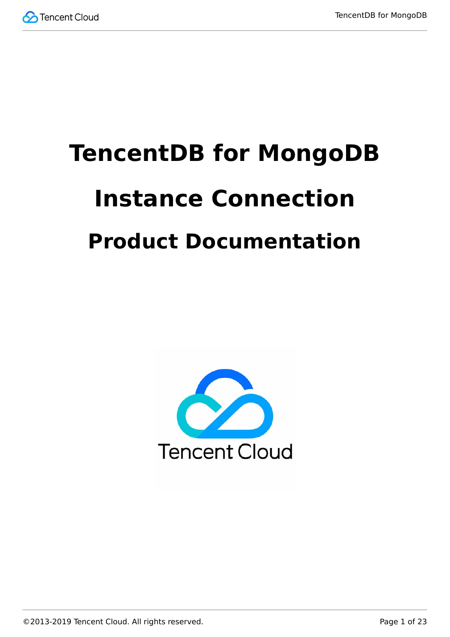

# **TencentDB for MongoDB Instance Connection Product Documentation**

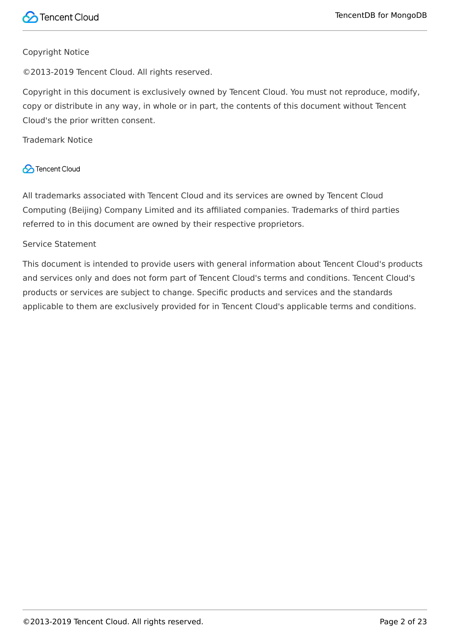#### Copyright Notice

©2013-2019 Tencent Cloud. All rights reserved.

Copyright in this document is exclusively owned by Tencent Cloud. You must not reproduce, modify, copy or distribute in any way, in whole or in part, the contents of this document without Tencent Cloud's the prior written consent.

Trademark Notice

#### **C** Tencent Cloud

All trademarks associated with Tencent Cloud and its services are owned by Tencent Cloud Computing (Beijing) Company Limited and its affiliated companies. Trademarks of third parties referred to in this document are owned by their respective proprietors.

#### Service Statement

This document is intended to provide users with general information about Tencent Cloud's products and services only and does not form part of Tencent Cloud's terms and conditions. Tencent Cloud's products or services are subject to change. Specific products and services and the standards applicable to them are exclusively provided for in Tencent Cloud's applicable terms and conditions.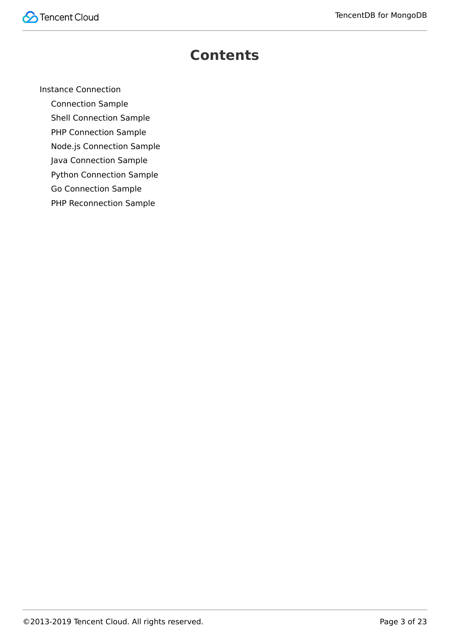

### **Contents**

[Instance Connection](#page-3-0)

[Connection Sample](#page-3-1)

[Shell Connection Sample](#page-8-0)

[PHP Connection Sample](#page-11-0)

[Node.js Connection Sample](#page-14-0)

[Java Connection Sample](#page-16-0)

[Python Connection Sample](#page-18-0)

[Go Connection Sample](#page-20-0)

[PHP Reconnection Sample](#page-21-0)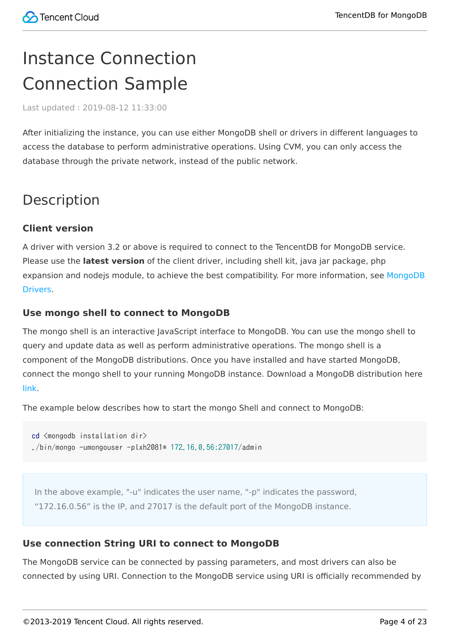## <span id="page-3-1"></span><span id="page-3-0"></span>Instance Connection Connection Sample

Last updated:2019-08-12 11:33:00

After initializing the instance, you can use either MongoDB shell or drivers in different languages to access the database to perform administrative operations. Using CVM, you can only access the database through the private network, instead of the public network.

### Description

#### **Client version**

A driver with version 3.2 or above is required to connect to the TencentDB for MongoDB service. Please use the **latest version** of the client driver, including shell kit, java jar package, php [expansion and nodejs module, to achieve the best compatibility. For more information, see MongoDB](https://docs.mongodb.com/ecosystem/drivers/) **Drivers** 

#### **Use mongo shell to connect to MongoDB**

The mongo shell is an interactive JavaScript interface to MongoDB. You can use the mongo shell to query and update data as well as perform administrative operations. The mongo shell is a component of the MongoDB distributions. Once you have installed and have started MongoDB, connect the mongo shell to your running MongoDB instance. Download a MongoDB distribution here [link.](https://www.mongodb.com/download-center#community)

The example below describes how to start the mongo Shell and connect to MongoDB:

```
cd <mongodb installation dir>
./bin/mongo -umongouser -plxh2081* 172.16.0.56:27017/admin
```
In the above example, "-u" indicates the user name, "-p" indicates the password, "172.16.0.56" is the IP, and 27017 is the default port of the MongoDB instance.

#### **Use connection String URI to connect to MongoDB**

The MongoDB service can be connected by passing parameters, and most drivers can also be connected by using URI. Connection to the MongoDB service using URI is officially recommended by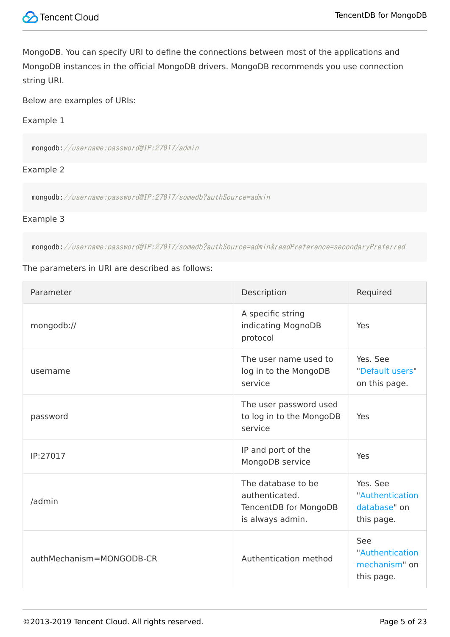

MongoDB. You can specify URI to define the connections between most of the applications and MongoDB instances in the official MongoDB drivers. MongoDB recommends you use connection string URI.

Below are examples of URIs:

#### Example 1

mongodb://username:password@IP:27017/admin

#### Example 2

mongodb://username:password@IP:27017/somedb?authSource=admin

#### Example 3

mongodb://username:password@IP:27017/somedb?authSource=admin&readPreference=secondaryPreferred

#### The parameters in URI are described as follows:

| Parameter                | Description                                                                       | Required                                                  |
|--------------------------|-----------------------------------------------------------------------------------|-----------------------------------------------------------|
| mongodb://               | A specific string<br>indicating MognoDB<br>protocol                               | Yes                                                       |
| username                 | The user name used to<br>log in to the MongoDB<br>service                         | Yes. See<br>"Default users"<br>on this page.              |
| password                 | The user password used<br>to log in to the MongoDB<br>service                     | Yes                                                       |
| IP:27017                 | IP and port of the<br>MongoDB service                                             | Yes                                                       |
| /admin                   | The database to be<br>authenticated.<br>TencentDB for MongoDB<br>is always admin. | Yes. See<br>"Authentication<br>database" on<br>this page. |
| authMechanism=MONGODB-CR | Authentication method                                                             | See<br>"Authentication<br>mechanism" on<br>this page.     |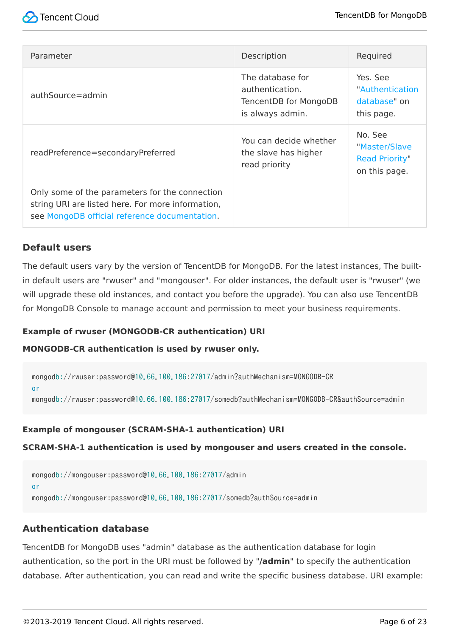| Parameter                                                                                                                                            | Description                                                                      | Required                                                           |
|------------------------------------------------------------------------------------------------------------------------------------------------------|----------------------------------------------------------------------------------|--------------------------------------------------------------------|
| authSource=admin                                                                                                                                     | The database for<br>authentication.<br>TencentDB for MongoDB<br>is always admin. | Yes. See<br>"Authentication<br>database" on<br>this page.          |
| readPreference=secondaryPreferred                                                                                                                    | You can decide whether<br>the slave has higher<br>read priority                  | No. See<br>"Master/Slave<br><b>Read Priority"</b><br>on this page. |
| Only some of the parameters for the connection<br>string URI are listed here. For more information,<br>see MongoDB official reference documentation. |                                                                                  |                                                                    |

#### **Default users**

The default users vary by the version of TencentDB for MongoDB. For the latest instances, The builtin default users are "rwuser" and "mongouser". For older instances, the default user is "rwuser" (we will upgrade these old instances, and contact you before the upgrade). You can also use TencentDB for MongoDB Console to manage account and permission to meet your business requirements.

#### **Example of rwuser (MONGODB-CR authentication) URI**

#### **MONGODB-CR authentication is used by rwuser only.**

mongodb://rwuser:password@10.66.100.186:27017/admin?authMechanism=MONGODB-CR

or

mongodb://rwuser:password@10.66.100.186:27017/somedb?authMechanism=MONGODB-CR&authSource=admin

#### **Example of mongouser (SCRAM-SHA-1 authentication) URI**

**SCRAM-SHA-1 authentication is used by mongouser and users created in the console.**

mongodb://mongouser:password@10.66.100.186:27017/admin or mongodb://mongouser:password@10.66.100.186:27017/somedb?authSource=admin

#### **Authentication database**

TencentDB for MongoDB uses "admin" database as the authentication database for login authentication, so the port in the URI must be followed by "**/admin**" to specify the authentication database. After authentication, you can read and write the specific business database. URI example: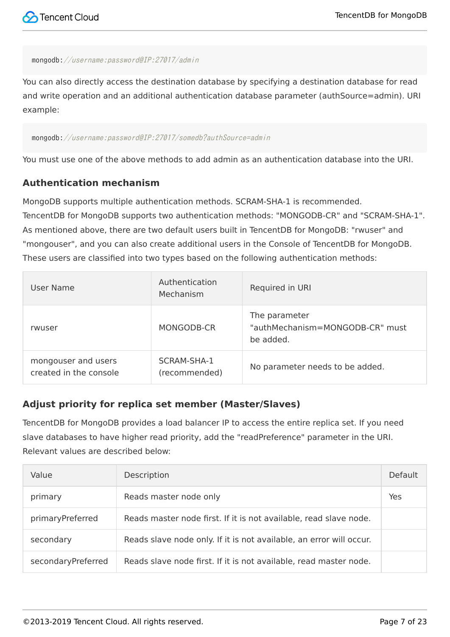#### mongodb://username:password@IP:27017/admin

You can also directly access the destination database by specifying a destination database for read and write operation and an additional authentication database parameter (authSource=admin). URI example:

#### mongodb://username:password@IP:27017/somedb?authSource=admin

You must use one of the above methods to add admin as an authentication database into the URI.

#### **Authentication mechanism**

MongoDB supports multiple authentication methods. SCRAM-SHA-1 is recommended. TencentDB for MongoDB supports two authentication methods: "MONGODB-CR" and "SCRAM-SHA-1". As mentioned above, there are two default users built in TencentDB for MongoDB: "rwuser" and "mongouser", and you can also create additional users in the Console of TencentDB for MongoDB. These users are classified into two types based on the following authentication methods:

| User Name                                     | Authentication<br>Mechanism  | Required in URI                                               |
|-----------------------------------------------|------------------------------|---------------------------------------------------------------|
| rwuser                                        | MONGODB-CR                   | The parameter<br>"authMechanism=MONGODB-CR" must<br>be added. |
| mongouser and users<br>created in the console | SCRAM-SHA-1<br>(recommended) | No parameter needs to be added.                               |

#### **Adjust priority for replica set member (Master/Slaves)**

TencentDB for MongoDB provides a load balancer IP to access the entire replica set. If you need slave databases to have higher read priority, add the "readPreference" parameter in the URI. Relevant values are described below:

| Value              | Description                                                         | Default |
|--------------------|---------------------------------------------------------------------|---------|
| primary            | Reads master node only                                              | Yes     |
| primaryPreferred   | Reads master node first. If it is not available, read slave node.   |         |
| secondary          | Reads slave node only. If it is not available, an error will occur. |         |
| secondaryPreferred | Reads slave node first. If it is not available, read master node.   |         |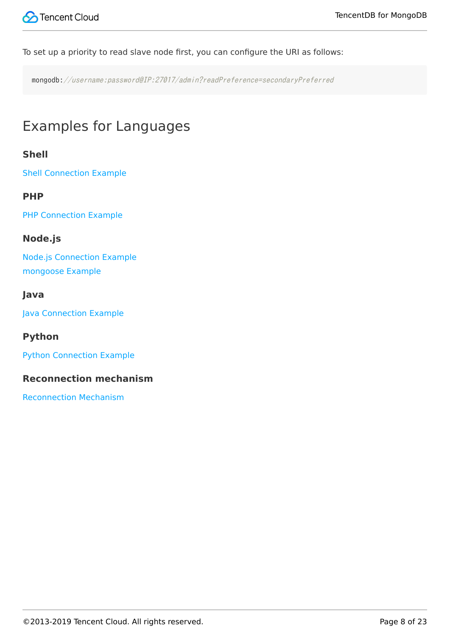To set up a priority to read slave node first, you can configure the URI as follows:

mongodb://username:password@IP:27017/admin?readPreference=secondaryPreferred

## Examples for Languages

#### **Shell**

[Shell Connection Example](https://intl.cloud.tencent.com/document/product/240/3978)

#### **PHP**

[PHP Connection Example](https://intl.cloud.tencent.com/document/product/240/3977)

#### **Node.js**

[Node.js Connection Example](https://intl.cloud.tencent.com/document/product/240/3979) [mongoose Example](https://intl.cloud.tencent.com/document/product/240/3979)

#### **Java**

[Java Connection Example](https://intl.cloud.tencent.com/document/product/240/3980)

#### **Python**

[Python Connection Example](https://intl.cloud.tencent.com/document/product/240/3981)

#### **Reconnection mechanism**

[Reconnection Mechanism](https://intl.cloud.tencent.com/document/product/240/31195)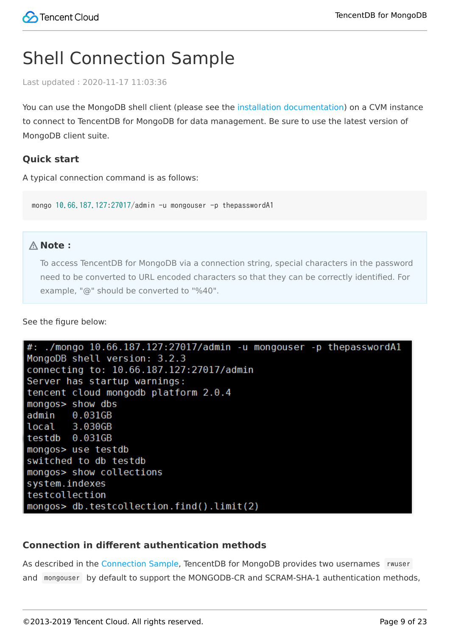## <span id="page-8-0"></span>Shell Connection Sample

Last updated:2020-11-17 11:03:36

You can use the MongoDB shell client (please see the [installation documentation](https://docs.mongodb.com/manual/tutorial/install-mongodb-on-linux/)) on a CVM instance to connect to TencentDB for MongoDB for data management. Be sure to use the latest version of MongoDB client suite.

#### **Quick start**

A typical connection command is as follows:

mongo 10.66.187.127:27017/admin -u mongouser -p thepasswordA1

#### **Note**:

To access TencentDB for MongoDB via a connection string, special characters in the password need to be converted to URL encoded characters so that they can be correctly identified. For example, "@" should be converted to "%40".

See the figure below:



#### **Connection in different authentication methods**

As described in the [Connection Sample](https://intl.cloud.tencent.com/document/product/240/7092), TencentDB for MongoDB provides two usernames rwuser and mongouser by default to support the MONGODB-CR and SCRAM-SHA-1 authentication methods,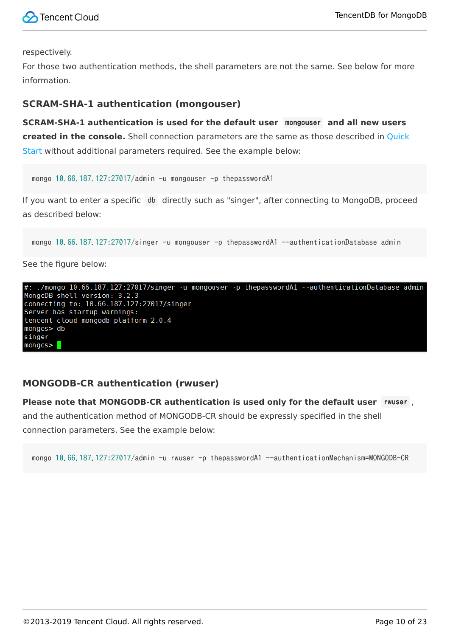

respectively.

For those two authentication methods, the shell parameters are not the same. See below for more information.

#### **SCRAM-SHA-1 authentication (mongouser)**

**SCRAM-SHA-1 authentication is used for the default user** mongouser **and all new users created in the console.** Shell connection parameters are the same as those described in Quick Start without additional parameters required. See the example below:

mongo 10.66.187.127:27017/admin -u mongouser -p thepasswordA1

If you want to enter a specific db directly such as "singer", after connecting to MongoDB, proceed as described below:

mongo 10.66.187.127:27017/singer -u mongouser -p thepasswordA1 --authenticationDatabase admin

See the figure below:



#### **MONGODB-CR authentication (rwuser)**

**Please note that MONGODB-CR authentication is used only for the default user** rwuser ,

and the authentication method of MONGODB-CR should be expressly specified in the shell connection parameters. See the example below:

mongo 10.66.187.127:27017/admin -u rwuser -p thepasswordA1 --authenticationMechanism=MONGODB-CR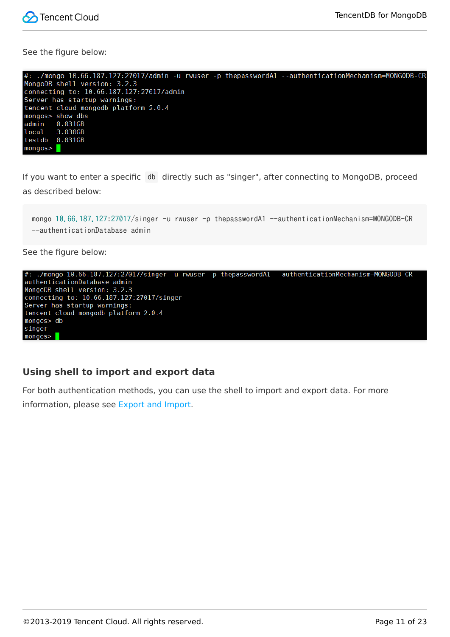

See the figure below:

| #: ./mongo 10.66.187.127:27017/admin -u rwuser -p thepasswordA1 --authenticationMechanism=MONGODB-CR |
|------------------------------------------------------------------------------------------------------|
| MongoDB shell version: 3.2.3                                                                         |
| connecting to: 10.66.187.127:27017/admin                                                             |
| Server has startup warnings:                                                                         |
| tencent cloud mongodb platform 2.0.4                                                                 |
| mongos> show dbs                                                                                     |
| admin<br>0.031GB                                                                                     |
| local<br>3.030GB                                                                                     |
| testdb<br>0.031GB                                                                                    |
| mongos > 1                                                                                           |

If you want to enter a specific db directly such as "singer", after connecting to MongoDB, proceed as described below:

mongo 10.66.187.127:27017/singer -u rwuser -p thepasswordA1 --authenticationMechanism=MONGODB-CR --authenticationDatabase admin

See the figure below:



#### **Using shell to import and export data**

For both authentication methods, you can use the shell to import and export data. For more information, please see [Export and Import.](https://intl.cloud.tencent.com/document/product/240/5321)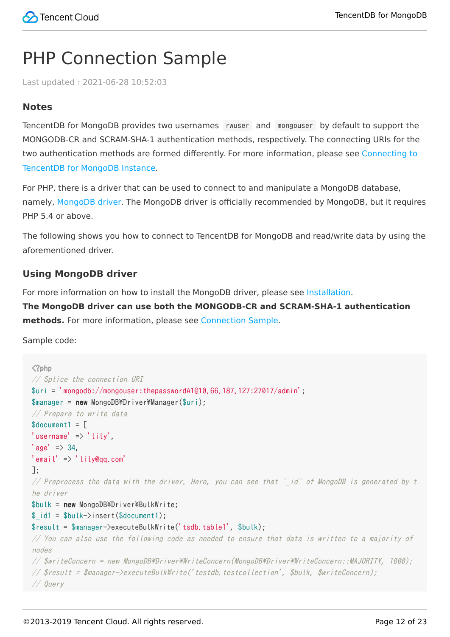## <span id="page-11-0"></span>PHP Connection Sample

Last updated:2021-06-28 10:52:03

#### **Notes**

TencentDB for MongoDB provides two usernames rwuser and mongouser by default to support the MONGODB-CR and SCRAM-SHA-1 authentication methods, respectively. The connecting URIs for the [two authentication methods are formed differently. For more information, please see Connecting to](https://intl.cloud.tencent.com/document/product/240/7092) TencentDB for MongoDB Instance.

For PHP, there is a driver that can be used to connect to and manipulate a MongoDB database, namely, [MongoDB driver.](http://php.net/manual/en/set.mongodb.php) The MongoDB driver is officially recommended by MongoDB, but it requires PHP 5.4 or above.

The following shows you how to connect to TencentDB for MongoDB and read/write data by using the aforementioned driver.

#### **Using MongoDB driver**

For more information on how to install the MongoDB driver, please see [Installation](http://php.net/manual/zh/mongodb.installation.php).

**The MongoDB driver can use both the MONGODB-CR and SCRAM-SHA-1 authentication methods.** For more information, please see [Connection Sample](https://intl.cloud.tencent.com/document/product/240/3563).

Sample code:

```
\langle?php
// Splice the connection URI
\text{Suri} = 'mongodb://mongouser:thepasswordA1@10.66.187.127:27017/admin';$manager = new MongoDB\Driver\Manager($uri);
// Prepare to write data
$document1 ='username' \Rightarrow 'lily',
'age' => 34,
'email' \Rightarrow 'lily@qq.com'
];
// Preprocess the data with the driver. Here, you can see that `id` of MongoDB is generated by t
he driver
$bulk = new MongoDB*Driver*BulkWrite;$ id1 = $bulk->insert($document1);
$result = $manager->executeBulkWrite('tsdb.table1', $bulk);
// You can also use the following code as needed to ensure that data is written to a majority of
nodes\frac{1}{2} $writeConcern = new MongoDB\Driver\WriteConcern(MongoDB\Driver\WriteConcern::MAJORITY, 1000);
\sqrt{2} $result = $manager-\lambdaexecuteBulkWrite('testdb.testcollection', $bulk, $writeConcern);
// Query
```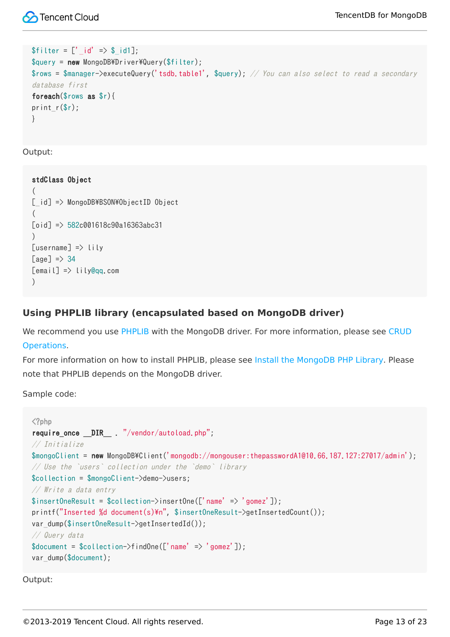```
$fitter = ['_id' => $_id1];\text{query} = \text{new} \text{ MongoDB*Driver*Query(\$filter);}$rows = $manager->executeQuery('tsdb, table1', $query); // You can also select to read a secondarydatabase first
foreach($rows as $r){
print r(\r);
}
```
Output:

```
stdClass Object
(
[i \, d] => MongoDB\BSON\ObjectID Object
(
\lceiloid] => 582c001618c90a16363abc31
\lambda[username] => lily
[aae] \Rightarrow 34[email] => lily@qq.com
)
```
#### **Using PHPLIB library (encapsulated based on MongoDB driver)**

[We recommend you use PHPLIB with the MongoDB driver. For more information, please see CRUD](http://mongodb.github.io/mongo-php-library/tutorial/crud/) Operations.

For more information on how to install PHPLIB, please see [Install the MongoDB PHP Library](http://mongodb.github.io/mongo-php-library/getting-started/). Please note that PHPLIB depends on the MongoDB driver.

Sample code:

```
\langle?php
require_once __DIR__ . "/vendor/autoload.php";
// Initialize
$mongoClient = new MongoDB\Client('mongodb://mongouser:thepasswordA1@10.66.187.127:27017/admin');
// Use the `users` collection under the `demo` library
$collection = $mongoClient->demo->users;
// Write a data entry
\frac{\gamma}{\gamma} insertOneResult = \frac{\gamma}{\gamma}collection->insertOne(['name' => 'gomez']);
printf("Inserted %d document(s)\n", $insertOneResult->getInsertedCount());
var_dump($insertOneResult->getInsertedId());
// Query data
\text{Sdocument} = \text{Scollection}\rightarrow\text{findOne}(\text{['name']});
var_dump($document);
```
Output: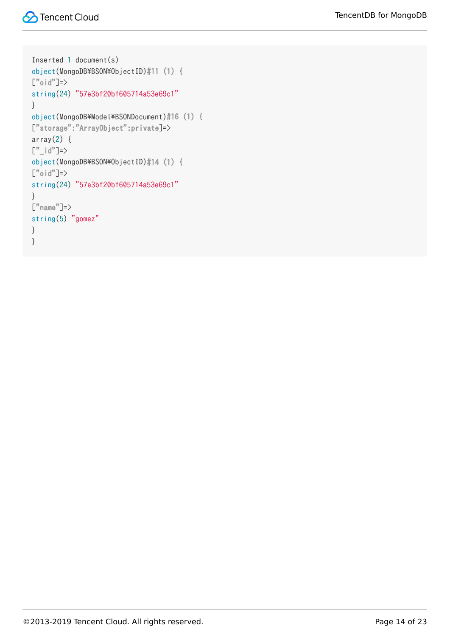```
Inserted 1 document(s)
object(MongoDB\BSON\ObjectID)#11 (1) {
\lfloor"oid"]=>
string(24) "57e3bf20bf605714a53e69c1"
}
object(MongoDB\Model\BSONDocument)#16 (1) {
["storage":"ArrayObject":private]=>
array(2) {
\begin{bmatrix}" id"]=>
object(MongoDB\BSON\ObjectID)#14 (1) {
\left[\begin{smallmatrix}n\\1\end{smallmatrix}\right]oid"]=>
string(24) "57e3bf20bf605714a53e69c1"
}
\lceil"name"]=>
string(5) "gomez"
}
}
```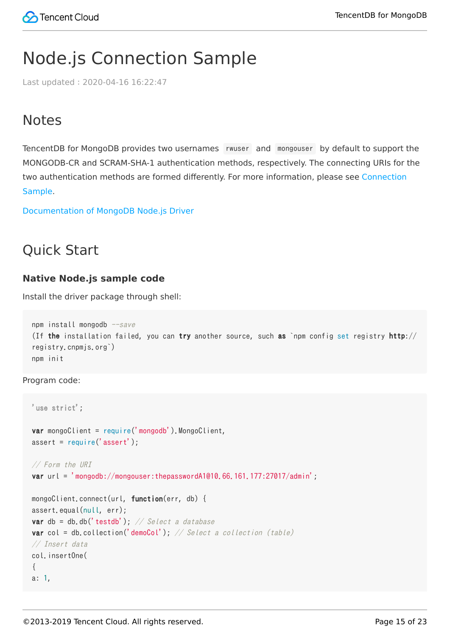## <span id="page-14-0"></span>Node.js Connection Sample

Last updated:2020-04-16 16:22:47

### **Notes**

TencentDB for MongoDB provides two usernames rwuser and mongouser by default to support the MONGODB-CR and SCRAM-SHA-1 authentication methods, respectively. The connecting URIs for the [two authentication methods are formed differently. For more information, please see Connection](https://intl.cloud.tencent.com/document/product/240/7092) Sample.

[Documentation of MongoDB Node.js Driver](https://docs.mongodb.com/ecosystem/drivers/node/)

### Quick Start

#### **Native Node.js sample code**

Install the driver package through shell:

```
npm install mongodb -save(If the installation failed, you can try another source, such as `npm config set registry http://
registry.cnpmjs.org`)
npm init
```
Program code:

```
'use strict';
var mongoClient = require('mongodb').MongoClient,
assert = require('assert');
// Form the URI
var url = 'mongodb://mongouser:thepasswordA1@10.66.161.177:27017/admin';
mongoClient.connect(url, function(err, db) {
assert.equal(null, err);
var db = db.db('testdb'); // Select a database
var col = db.collection('demoCol'); \frac{1}{s} Select a collection (table)
// Insert data
col.insertOne(
{
a: 1,
```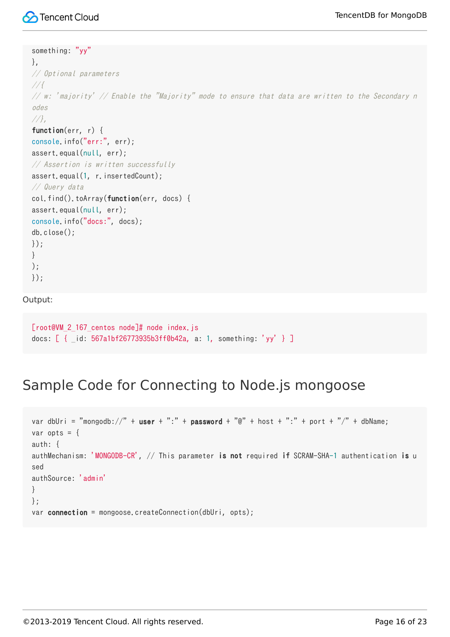#### something: "yy"

```
},
// Optional parameters
//{
\frac{1}{\sqrt{m}} \frac{1}{m} \frac{1}{m} \frac{1}{m} \frac{1}{m} \frac{1}{m} \frac{1}{m} \frac{1}{m} \frac{1}{m} \frac{1}{m} \frac{1}{m} \frac{1}{m} \frac{1}{m} \frac{1}{m} \frac{1}{m} \frac{1}{m} \frac{1}{m} \frac{1}{m} \frac{1}{m} \frac{1}{m} \frac{1}{m} \frac{1}{m}odes//},
function(err, r) {
console.info("err:", err);
assert.equal(null, err);
// Assertion is written successfully
assert.equal(1, r.insertedCount);
// Query data
col.find().toArray(function(err, docs) {
assert.equal(null, err);
console.info("docs:", docs);
db.close();
});
}
);
});
```
Output:

```
[root@VM 2 167 centos node]# node index.js
docs: [ { id: 567a1bf26773935b3ff0b42a, a: 1, something: 'yy' } ]
```
### Sample Code for Connecting to Node.js mongoose

```
var dbUri = "mongodb://" + user + ":" + password + "\mathbb{Q}" + host + ":" + port + "/" + dbName;
var opts = \{auth: {
authMechanism: 'MONGODB-CR', // This parameter is not required if SCRAM-SHA-1 authentication is u
sed
authSource: 'admin'
}
};
var connection = mongoose.createConnection(dbUri, opts);
```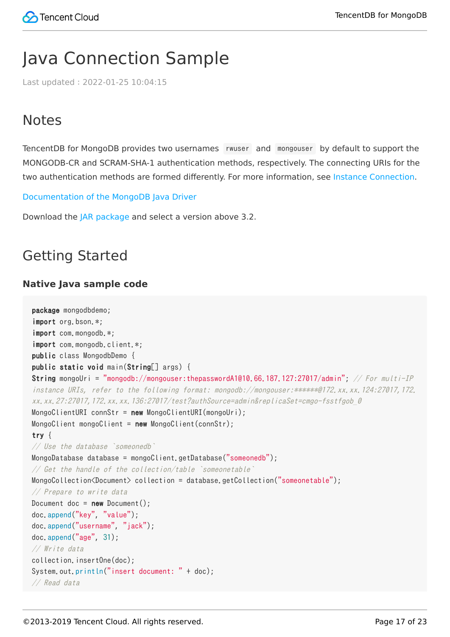## <span id="page-16-0"></span>Java Connection Sample

Last updated:2022-01-25 10:04:15

## **Notes**

TencentDB for MongoDB provides two usernames rwuser and mongouser by default to support the MONGODB-CR and SCRAM-SHA-1 authentication methods, respectively. The connecting URIs for the two authentication methods are formed differently. For more information, see [Instance Connection](https://intl.cloud.tencent.com/document/product/240/7092).

[Documentation of the MongoDB Java Driver](http://mongodb.github.io/mongo-java-driver/3.2/driver/getting-started/)

Download the [JAR package](https://oss.sonatype.org/content/repositories/releases/org/mongodb/mongo-java-driver/) and select a version above 3.2.

## Getting Started

#### **Native Java sample code**

```
package mongodbdemo;
import org.bson.*;
import com.mongodb.*;
import com.mongodb.client.*;
public class MongodbDemo {
public static void main(String[] args) {
String mongoUri = "mongodb://mongouser:thepasswordA1@10.66.187.127:27017/admin"; // For multi-IP
instance URIs, refer to the following format: mongodb://mongouser:******@172.xx.xx.124:27017,172.
xx.xx.27:27017,172.xx.xx.136:27017/test?authSource=admin&replicaSet=cmgo-fsstfgob_0
MongoClientURI connStr = new MongoClientURI(mongoUri);
MongoClient mongoClient = new MongoClient(connStr);
try {
// Use the database `someonedb`
MongoDatabase database = mongoClient.getDatabase("someonedb");
// Get the handle of the collection/table `someonetable`
MongoCollection<Document> collection = database.getCollection("someonetable");
// Prepare to write data
Document doc = new Document();
doc.append("key", "value");
doc.append("username", "jack");
doc.append("age", 31);
// Write data
collection.insertOne(doc);
System.out.println("insert document: " + doc);
// Read data
```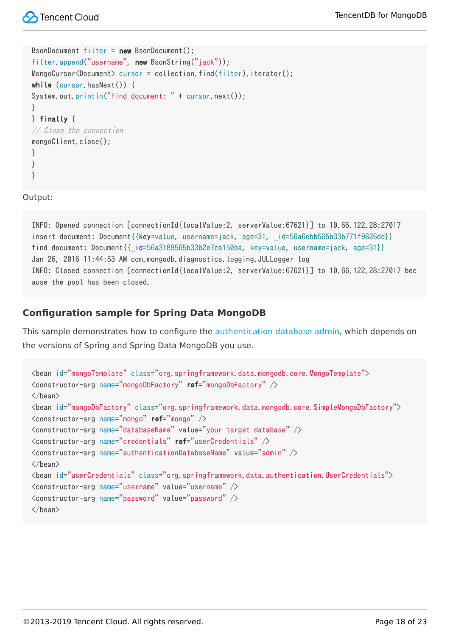```
BsonDocument filter = new BsonDocument();
filter.append("username", new BsonString("jack"));
MongoCursor\langle Document\rangle cursor = collection.find(filter).iterator();
while (cursor.hasNext()) {
System.out.println("find document: " + cursor.next());
}
} finally {
// Close the connection
mongoClient.close();
}
}
}
```
Output:

INFO: Opened connection [connectionId{localValue:2, serverValue:67621}] to 10.66.122.28:27017 insert document: Document{{key=value, username=jack, age=31, id=56a6ebb565b33b771f9826dd}} find document: Document{{\_id=56a3189565b33b2e7ca150ba, key=value, username=jack, age=31}} Jan 26, 2016 11:44:53 AM com.mongodb.diagnostics.logging.JULLogger log INFO: Closed connection [connectionId{localValue:2, serverValue:67621}] to 10.66.122.28:27017 bec ause the pool has been closed.

#### **Configuration sample for Spring Data MongoDB**

This sample demonstrates how to configure the [authentication database admin](https://intl.cloud.tencent.com/document/product/240/7092#uri-.E6.96.B9.E5.BC.8F), which depends on the versions of Spring and Spring Data MongoDB you use.

```
<bean id="mongoTemplate" class="org.springframework.data.mongodb.core.MongoTemplate">
<constructor-arg name="mongoDbFactory" ref="mongoDbFactory" />
\langle/bean\rangle<bean id="mongoDbFactory" class="org.springframework.data.mongodb.core.SimpleMongoDbFactory">
<constructor-arg name="mongo" ref="mongo" />
\zetaconstructor-arg name="databaseName" value="your target database" \zeta<constructor-arg name="credentials" ref="userCredentials" />
\zetaconstructor-arg name="authenticationDatabaseName" value="admin" \zeta\langle/bean\rangle<bean id="userCredentials" class="org.springframework.data.authentication.UserCredentials">
<constructor-arg name="username" value="username" />
\zetaconstructor-arg name="password" value="password" \zeta\langle/bean\rangle
```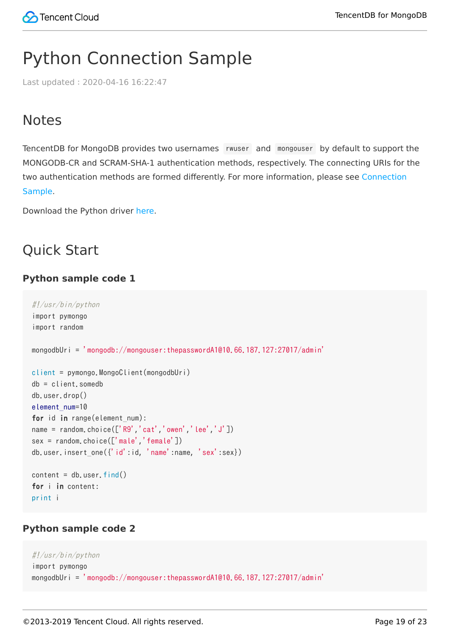## <span id="page-18-0"></span>Python Connection Sample

Last updated:2020-04-16 16:22:47

## **Notes**

TencentDB for MongoDB provides two usernames rwuser and mongouser by default to support the MONGODB-CR and SCRAM-SHA-1 authentication methods, respectively. The connecting URIs for the [two authentication methods are formed differently. For more information, please see Connection](https://intl.cloud.tencent.com/document/product/240/7092) Sample.

Download the Python driver [here.](https://pypi.python.org/pypi/pymongo/)

## Quick Start

#### **Python sample code 1**

```
#!/usr/bin/python
import pymongo
import random
mongodbUri = 'mongodb://mongouser:thepasswordA1@10.66.187.127:27017/admin'
client = pymongo.MongoClient(mongodbUri)
db = client.somedb
db.user.drop()
element_num=10
for id in range(element_num):
name = random.choice(['R9','cat','owen','lee','J'])
sex = random.choice(['male','female'])
db.user.insert one({}'id':id, 'name':name, 'sex':sex})
content = db_user.find()for i in content:
print i
```
#### **Python sample code 2**

```
#!/usr/bin/python
import pymongo
mongodbUri = 'mongodb://mongouser:thepasswordA1@10.66.187.127:27017/admin'
```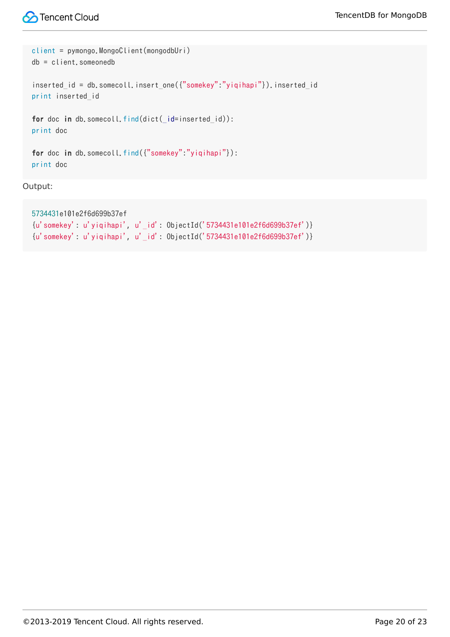```
client = pymongo.MongoClient(mongodbUri)
db = client.someonedb
inserted_id = db.somecoll.insert_one({"somekey":"yiqihapi"}).inserted_id
print inserted_id
for doc in db.somecoll.find(dict(_id=inserted_id)):
print doc
for doc in db.somecoll.find({"somekey":"yiqihapi"}):
print doc
```
Output:

```
5734431e101e2f6d699b37ef
{u'somekey': u'yiqihapi', u'_id': ObjectId('5734431e101e2f6d699b37ef')}
{u'somekey': u'yiqihapi', u'_id': ObjectId('5734431e101e2f6d699b37ef')}
```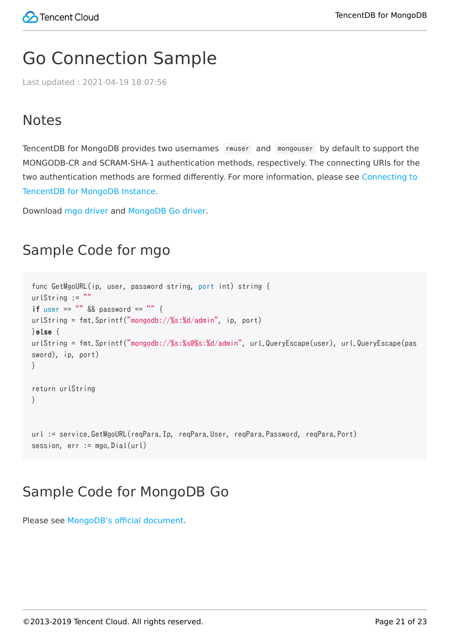## <span id="page-20-0"></span>Go Connection Sample

Last updated:2021-04-19 18:07:56

## **Notes**

TencentDB for MongoDB provides two usernames rwuser and mongouser by default to support the MONGODB-CR and SCRAM-SHA-1 authentication methods, respectively. The connecting URIs for the [two authentication methods are formed differently. For more information, please see Connecting to](https://intl.cloud.tencent.com/document/product/240/7092) TencentDB for MongoDB Instance.

Download [mgo driver](https://gopkg.in/mgo.v2) and [MongoDB Go driver](https://github.com/mongodb/mongo-go-driver/).

### Sample Code for mgo

```
func GetMgoURL(ip, user, password string, port int) string {
urlString := ""
if user == "" && password == "" {
urlString = fmt.Sprintf("mongodb://%s:%d/admin", ip, port)
}else {
urlString = fmt.Sprintf("mongodb://%s:%s@%s:%d/admin", url.QueryEscape(user), url.QueryEscape(pas
sword), ip, port)
}
return urlString
}
url := service.GetMgoURL(reqPara.Ip, reqPara.User, reqPara.Password, reqPara.Port)
session, err := mgo.Dial(url)
```
## Sample Code for MongoDB Go

Please see [MongoDB's official document.](https://www.mongodb.com/blog/post/quick-start-golang--mongodb--starting-and-setup)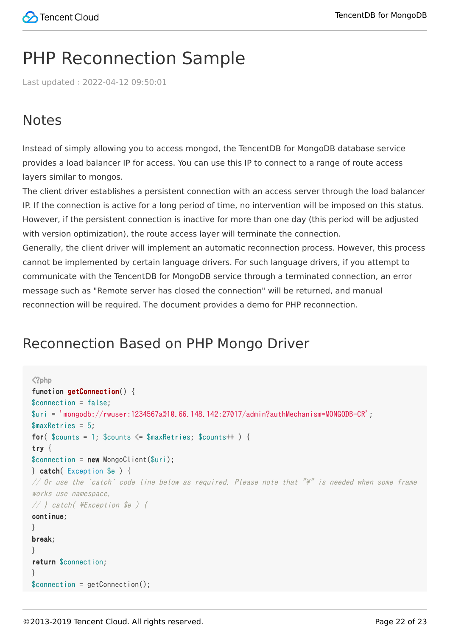## <span id="page-21-0"></span>PHP Reconnection Sample

Last updated:2022-04-12 09:50:01

## **Notes**

Instead of simply allowing you to access mongod, the TencentDB for MongoDB database service provides a load balancer IP for access. You can use this IP to connect to a range of route access layers similar to mongos.

The client driver establishes a persistent connection with an access server through the load balancer IP. If the connection is active for a long period of time, no intervention will be imposed on this status. However, if the persistent connection is inactive for more than one day (this period will be adjusted with version optimization), the route access layer will terminate the connection.

Generally, the client driver will implement an automatic reconnection process. However, this process cannot be implemented by certain language drivers. For such language drivers, if you attempt to communicate with the TencentDB for MongoDB service through a terminated connection, an error message such as "Remote server has closed the connection" will be returned, and manual reconnection will be required. The document provides a demo for PHP reconnection.

## Reconnection Based on PHP Mongo Driver

```
\langle?php
function getConnection() {
$connection = false;
$uri = 'mongodb://rwuser:1234567a@10.66.148.142:27017/admin?authMechanism=MONGODB-CR';
$maxRetries = 5;
for(\text{Scounts} = 1; \text{Scounts} \leq \text{ImaxRetries}; \text{Scounts++}) {
try {
$connection = new Mongoclient({$uri});
} catch( Exception $e ) {
// Or use the `catch` code line below as required. Please note that \mathbb{I}^*" is needed when some frame
works use namespace.
// } catch( \Xexception $e ) {
continue;
}
break;
}
return $connection;
}
$connection = getConnection();
```